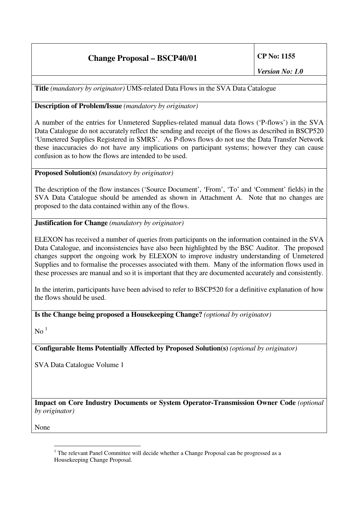## **Change Proposal – BSCP40/01 CP No: 1155**

**Title** *(mandatory by originator)* UMS-related Data Flows in the SVA Data Catalogue

## **Description of Problem/Issue** *(mandatory by originator)*

A number of the entries for Unmetered Supplies-related manual data flows ('P-flows') in the SVA Data Catalogue do not accurately reflect the sending and receipt of the flows as described in BSCP520 'Unmetered Supplies Registered in SMRS'. As P-flows flows do not use the Data Transfer Network these inaccuracies do not have any implications on participant systems; however they can cause confusion as to how the flows are intended to be used.

## **Proposed Solution(s)** *(mandatory by originator)*

The description of the flow instances ('Source Document', 'From', 'To' and 'Comment' fields) in the SVA Data Catalogue should be amended as shown in Attachment A. Note that no changes are proposed to the data contained within any of the flows.

## **Justification for Change** *(mandatory by originator)*

ELEXON has received a number of queries from participants on the information contained in the SVA Data Catalogue, and inconsistencies have also been highlighted by the BSC Auditor. The proposed changes support the ongoing work by ELEXON to improve industry understanding of Unmetered Supplies and to formalise the processes associated with them. Many of the information flows used in these processes are manual and so it is important that they are documented accurately and consistently.

In the interim, participants have been advised to refer to BSCP520 for a definitive explanation of how the flows should be used.

**Is the Change being proposed a Housekeeping Change?** *(optional by originator)*

 $\mathrm{No}^{-1}$ 

**Configurable Items Potentially Affected by Proposed Solution(s)** *(optional by originator)*

SVA Data Catalogue Volume 1

**Impact on Core Industry Documents or System Operator-Transmission Owner Code** *(optional by originator)*

None

 $<sup>1</sup>$  The relevant Panel Committee will decide whether a Change Proposal can be progressed as a</sup> Housekeeping Change Proposal.